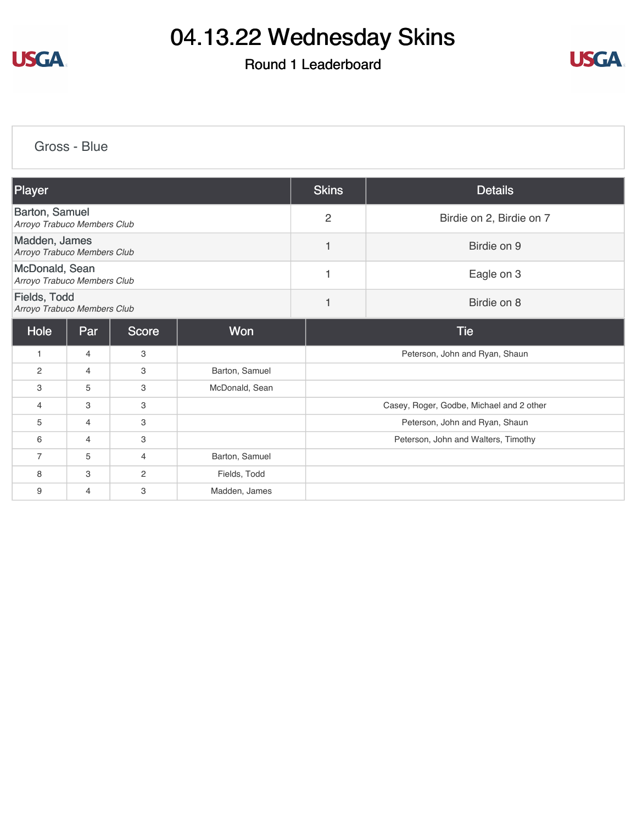

### Round 1 Leaderboard



[Gross - Blue](https://cdn2.golfgenius.com/v2tournaments/8384708808538087870?called_from=&round_index=1)

| Player                                        |                |                |                | <b>Skins</b>   | <b>Details</b>                           |  |  |
|-----------------------------------------------|----------------|----------------|----------------|----------------|------------------------------------------|--|--|
| Barton, Samuel<br>Arroyo Trabuco Members Club |                |                |                | $\overline{2}$ | Birdie on 2, Birdie on 7                 |  |  |
| Madden, James<br>Arroyo Trabuco Members Club  |                |                |                | 1              | Birdie on 9                              |  |  |
| McDonald, Sean<br>Arroyo Trabuco Members Club |                |                |                | 1              | Eagle on 3                               |  |  |
| Fields, Todd<br>Arroyo Trabuco Members Club   |                |                |                | 1              | Birdie on 8                              |  |  |
| Hole                                          | Par            | <b>Score</b>   | <b>Won</b>     |                | <b>Tie</b>                               |  |  |
|                                               | $\overline{4}$ | 3              |                |                | Peterson, John and Ryan, Shaun           |  |  |
| $\overline{2}$                                | $\overline{4}$ | 3              | Barton, Samuel |                |                                          |  |  |
| 3                                             | 5              | 3              | McDonald, Sean |                |                                          |  |  |
| $\overline{4}$                                | 3              | 3              |                |                | Casey, Roger, Godbe, Michael and 2 other |  |  |
| 5                                             | $\overline{4}$ | 3              |                |                | Peterson, John and Ryan, Shaun           |  |  |
| 6                                             | $\overline{4}$ | 3              |                |                | Peterson, John and Walters, Timothy      |  |  |
| $\overline{7}$                                | 5              | $\overline{4}$ | Barton, Samuel |                |                                          |  |  |
| 8                                             | 3              | $\overline{2}$ | Fields, Todd   |                |                                          |  |  |
| 9                                             | $\overline{4}$ | 3              | Madden, James  |                |                                          |  |  |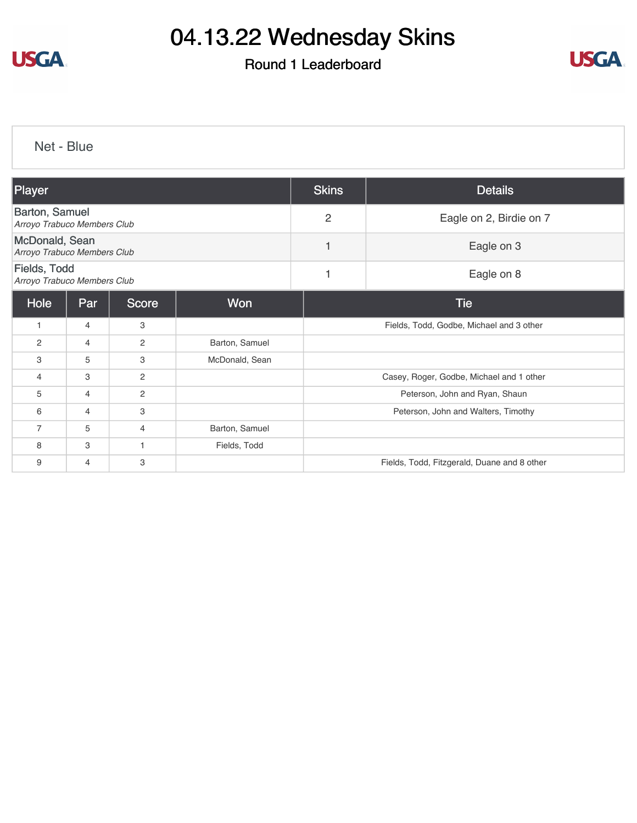

### Round 1 Leaderboard



[Net - Blue](https://cdn2.golfgenius.com/v2tournaments/8384709750109004223?called_from=&round_index=1)

| Player                                        |     |              |                | <b>Skins</b>   | <b>Details</b>                              |  |  |
|-----------------------------------------------|-----|--------------|----------------|----------------|---------------------------------------------|--|--|
| Barton, Samuel<br>Arroyo Trabuco Members Club |     |              |                | $\overline{2}$ | Eagle on 2, Birdie on 7                     |  |  |
| McDonald, Sean<br>Arroyo Trabuco Members Club |     |              |                | $\mathbf{1}$   | Eagle on 3                                  |  |  |
| Fields, Todd<br>Arroyo Trabuco Members Club   |     |              |                | 1              | Eagle on 8                                  |  |  |
| Hole                                          | Par | <b>Score</b> | Won            |                | <b>Tie</b>                                  |  |  |
| $\overline{1}$                                | 4   | 3            |                |                | Fields, Todd, Godbe, Michael and 3 other    |  |  |
| $\overline{2}$                                | 4   | 2            | Barton, Samuel |                |                                             |  |  |
| 3                                             | 5   | 3            | McDonald, Sean |                |                                             |  |  |
| $\overline{4}$                                | 3   | 2            |                |                | Casey, Roger, Godbe, Michael and 1 other    |  |  |
| 5                                             | 4   | 2            |                |                | Peterson, John and Ryan, Shaun              |  |  |
| 6                                             | 4   | 3            |                |                | Peterson, John and Walters, Timothy         |  |  |
| $\overline{7}$                                | 5   | 4            | Barton, Samuel |                |                                             |  |  |
| 8                                             | 3   | 1            | Fields, Todd   |                |                                             |  |  |
| 9                                             | 4   | 3            |                |                | Fields, Todd, Fitzgerald, Duane and 8 other |  |  |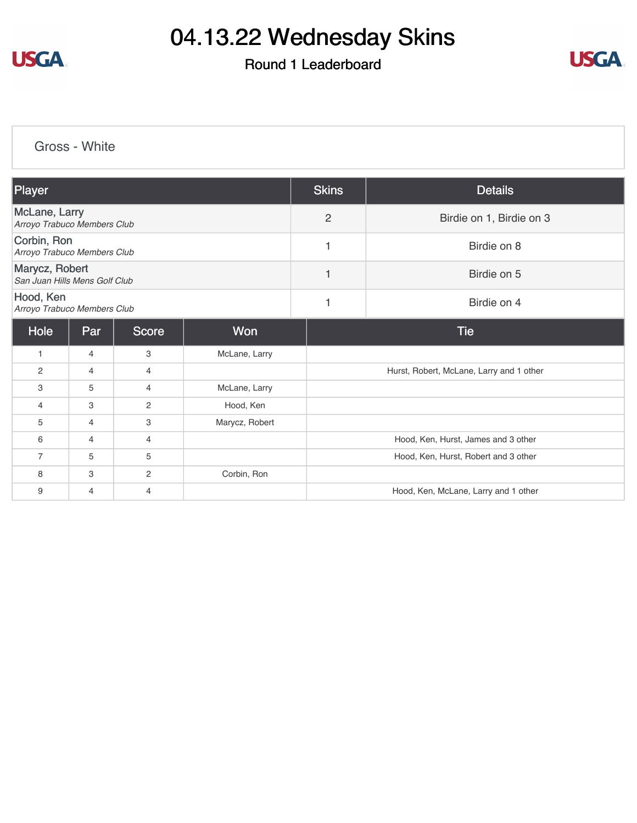

### Round 1 Leaderboard



[Gross - White](https://cdn2.golfgenius.com/v2tournaments/8384711058228535744?called_from=&round_index=1)

| Player                                              |                |                |                | <b>Skins</b>   | <b>Details</b>                           |  |  |
|-----------------------------------------------------|----------------|----------------|----------------|----------------|------------------------------------------|--|--|
| <b>McLane, Larry</b><br>Arroyo Trabuco Members Club |                |                |                | $\overline{c}$ | Birdie on 1, Birdie on 3                 |  |  |
| Corbin, Ron<br>Arroyo Trabuco Members Club          |                |                |                | 1              | Birdie on 8                              |  |  |
| Marycz, Robert<br>San Juan Hills Mens Golf Club     |                |                |                | $\mathbf{1}$   | Birdie on 5                              |  |  |
| Hood, Ken<br>Arroyo Trabuco Members Club            |                |                |                | $\mathbf{1}$   | Birdie on 4                              |  |  |
| Hole                                                | Par            | <b>Score</b>   | <b>Won</b>     |                | <b>Tie</b>                               |  |  |
| $\mathbf{1}$                                        | $\overline{4}$ | 3              | McLane, Larry  |                |                                          |  |  |
| 2                                                   | $\overline{4}$ | $\overline{4}$ |                |                | Hurst, Robert, McLane, Larry and 1 other |  |  |
| 3                                                   | 5              | 4              | McLane, Larry  |                |                                          |  |  |
| $\overline{4}$                                      | 3              | $\overline{2}$ | Hood, Ken      |                |                                          |  |  |
| 5                                                   | 4              | 3              | Marycz, Robert |                |                                          |  |  |
| 6                                                   | 4              | 4              |                |                | Hood, Ken, Hurst, James and 3 other      |  |  |
| $\overline{7}$                                      | 5              | 5              |                |                | Hood, Ken, Hurst, Robert and 3 other     |  |  |
| 8                                                   | 3              | $\overline{2}$ | Corbin, Ron    |                |                                          |  |  |
| 9                                                   | 4              | 4              |                |                | Hood, Ken, McLane, Larry and 1 other     |  |  |